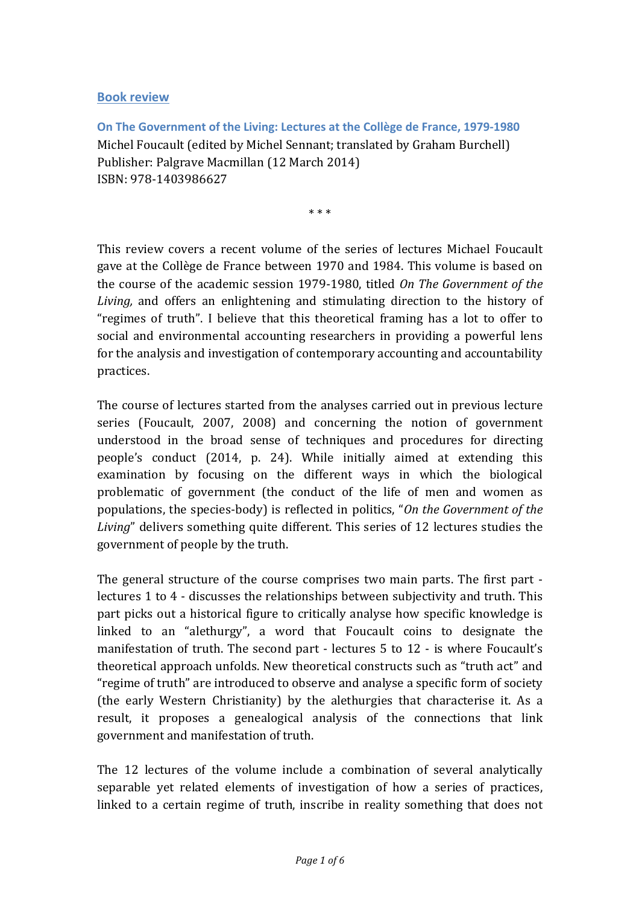## **Book review**

**On The Government of the Living: Lectures at the Collège de France, 1979-1980** Michel Foucault (edited by Michel Sennant; translated by Graham Burchell) Publisher: Palgrave Macmillan (12 March 2014) ISBN: 978-1403986627

\* \* \*

This review covers a recent volume of the series of lectures Michael Foucault gave at the Collège de France between 1970 and 1984. This volume is based on the course of the academic session 1979-1980, titled On The Government of the *Living*, and offers an enlightening and stimulating direction to the history of "regimes of truth". I believe that this theoretical framing has a lot to offer to social and environmental accounting researchers in providing a powerful lens for the analysis and investigation of contemporary accounting and accountability practices.

The course of lectures started from the analyses carried out in previous lecture series (Foucault, 2007, 2008) and concerning the notion of government understood in the broad sense of techniques and procedures for directing people's conduct (2014, p. 24). While initially aimed at extending this examination by focusing on the different ways in which the biological problematic of government (the conduct of the life of men and women as populations, the species-body) is reflected in politics, "On the Government of the *Living*" delivers something quite different. This series of 12 lectures studies the government of people by the truth.

The general structure of the course comprises two main parts. The first part lectures 1 to 4 - discusses the relationships between subjectivity and truth. This part picks out a historical figure to critically analyse how specific knowledge is linked to an "alethurgy", a word that Foucault coins to designate the manifestation of truth. The second part - lectures 5 to 12 - is where Foucault's theoretical approach unfolds. New theoretical constructs such as "truth act" and "regime of truth" are introduced to observe and analyse a specific form of society (the early Western Christianity) by the alethurgies that characterise it. As a result, it proposes a genealogical analysis of the connections that link government and manifestation of truth.

The 12 lectures of the volume include a combination of several analytically separable yet related elements of investigation of how a series of practices, linked to a certain regime of truth, inscribe in reality something that does not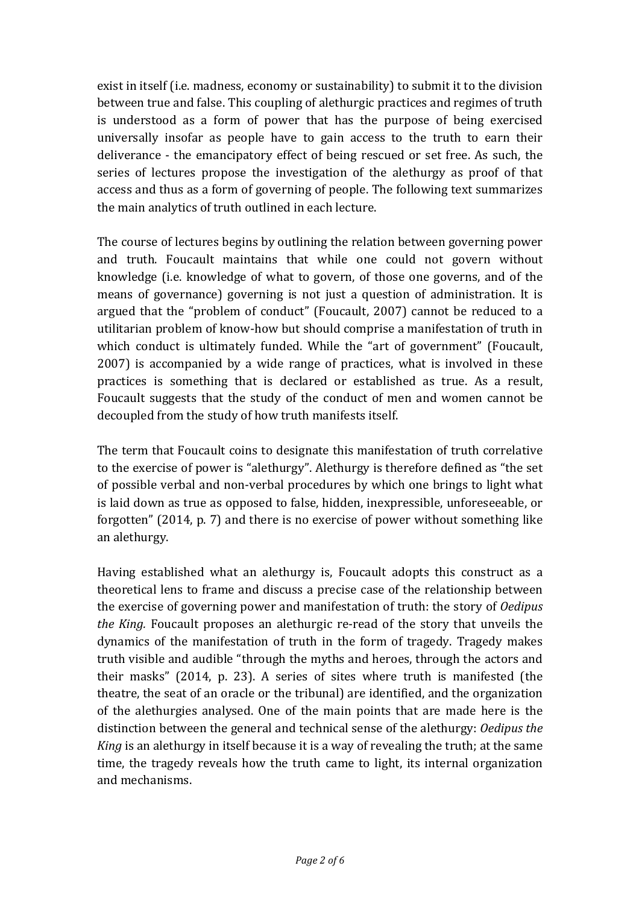exist in itself (i.e. madness, economy or sustainability) to submit it to the division between true and false. This coupling of alethurgic practices and regimes of truth is understood as a form of power that has the purpose of being exercised universally insofar as people have to gain access to the truth to earn their deliverance - the emancipatory effect of being rescued or set free. As such, the series of lectures propose the investigation of the alethurgy as proof of that access and thus as a form of governing of people. The following text summarizes the main analytics of truth outlined in each lecture.

The course of lectures begins by outlining the relation between governing power and truth. Foucault maintains that while one could not govern without knowledge (i.e. knowledge of what to govern, of those one governs, and of the means of governance) governing is not just a question of administration. It is argued that the "problem of conduct" (Foucault, 2007) cannot be reduced to a utilitarian problem of know-how but should comprise a manifestation of truth in which conduct is ultimately funded. While the "art of government" (Foucault, 2007) is accompanied by a wide range of practices, what is involved in these practices is something that is declared or established as true. As a result, Foucault suggests that the study of the conduct of men and women cannot be decoupled from the study of how truth manifests itself.

The term that Foucault coins to designate this manifestation of truth correlative to the exercise of power is "alethurgy". Alethurgy is therefore defined as "the set of possible verbal and non-verbal procedures by which one brings to light what is laid down as true as opposed to false, hidden, inexpressible, unforeseeable, or forgotten"  $(2014, p. 7)$  and there is no exercise of power without something like an alethurgy.

Having established what an alethurgy is, Foucault adopts this construct as a theoretical lens to frame and discuss a precise case of the relationship between the exercise of governing power and manifestation of truth: the story of *Oedipus the King.* Foucault proposes an alethurgic re-read of the story that unveils the dynamics of the manifestation of truth in the form of tragedy. Tragedy makes truth visible and audible "through the myths and heroes, through the actors and their masks"  $(2014, p. 23)$ . A series of sites where truth is manifested (the theatre, the seat of an oracle or the tribunal) are identified, and the organization of the alethurgies analysed. One of the main points that are made here is the distinction between the general and technical sense of the alethurgy: *Oedipus the King* is an alethurgy in itself because it is a way of revealing the truth; at the same time, the tragedy reveals how the truth came to light, its internal organization and mechanisms.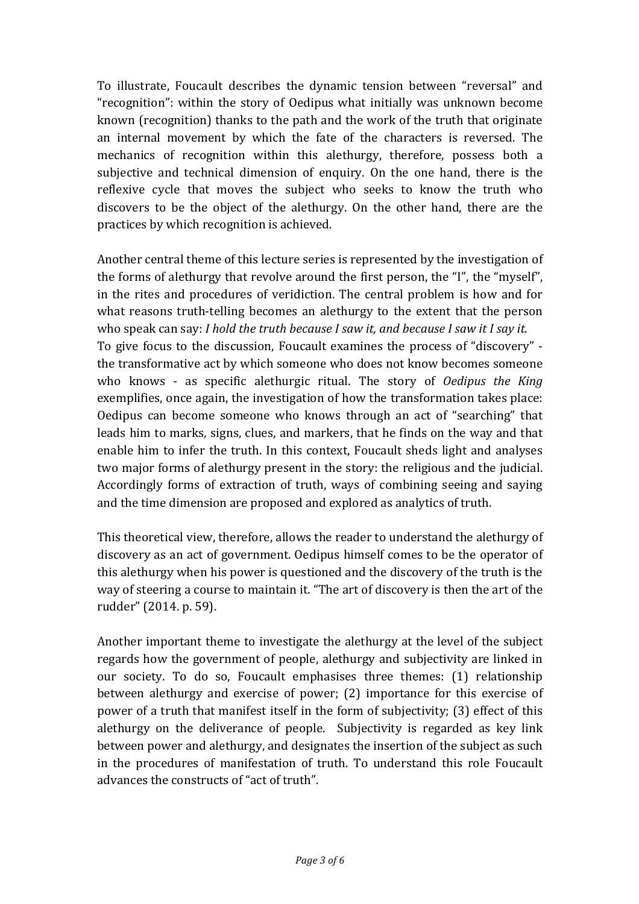To illustrate, Foucault describes the dynamic tension between "reversal" and "recognition": within the story of Oedipus what initially was unknown become known (recognition) thanks to the path and the work of the truth that originate an internal movement by which the fate of the characters is reversed. The mechanics of recognition within this alethurgy, therefore, possess both a subjective and technical dimension of enquiry. On the one hand, there is the reflexive cycle that moves the subject who seeks to know the truth who discovers to be the object of the alethurgy. On the other hand, there are the practices by which recognition is achieved.

Another central theme of this lecture series is represented by the investigation of the forms of alethurgy that revolve around the first person, the "I", the "myself". in the rites and procedures of veridiction. The central problem is how and for what reasons truth-telling becomes an alethurgy to the extent that the person who speak can say: *I hold the truth because I saw it, and because I saw it I say it.* To give focus to the discussion, Foucault examines the process of "discovery" the transformative act by which someone who does not know becomes someone who knows - as specific alethurgic ritual. The story of *Oedipus the King* exemplifies, once again, the investigation of how the transformation takes place: Oedipus can become someone who knows through an act of "searching" that leads him to marks, signs, clues, and markers, that he finds on the way and that enable him to infer the truth. In this context, Foucault sheds light and analyses two major forms of alethurgy present in the story: the religious and the judicial. Accordingly forms of extraction of truth, ways of combining seeing and saying and the time dimension are proposed and explored as analytics of truth.

This theoretical view, therefore, allows the reader to understand the alethurgy of discovery as an act of government. Oedipus himself comes to be the operator of this alethurgy when his power is questioned and the discovery of the truth is the way of steering a course to maintain it. "The art of discovery is then the art of the rudder" (2014. p. 59).

Another important theme to investigate the alethurgy at the level of the subject regards how the government of people, alethurgy and subjectivity are linked in our society. To do so, Foucault emphasises three themes: (1) relationship between alethurgy and exercise of power;  $(2)$  importance for this exercise of power of a truth that manifest itself in the form of subjectivity; (3) effect of this alethurgy on the deliverance of people. Subjectivity is regarded as key link between power and alethurgy, and designates the insertion of the subject as such in the procedures of manifestation of truth. To understand this role Foucault advances the constructs of "act of truth".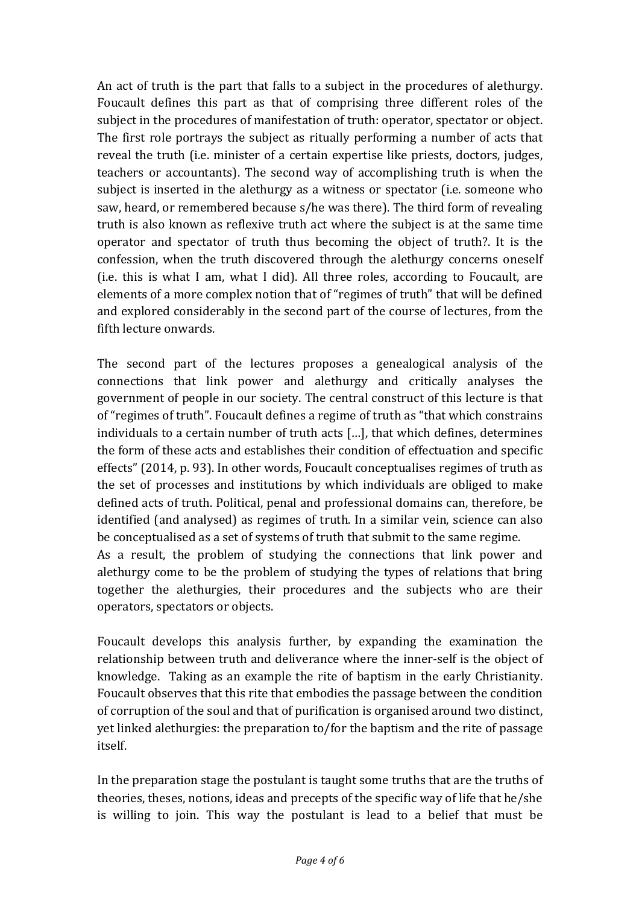An act of truth is the part that falls to a subject in the procedures of alethurgy. Foucault defines this part as that of comprising three different roles of the subject in the procedures of manifestation of truth: operator, spectator or object. The first role portrays the subject as ritually performing a number of acts that reveal the truth (i.e. minister of a certain expertise like priests, doctors, judges, teachers or accountants). The second way of accomplishing truth is when the subject is inserted in the alethurgy as a witness or spectator (i.e. someone who saw, heard, or remembered because s/he was there). The third form of revealing truth is also known as reflexive truth act where the subject is at the same time operator and spectator of truth thus becoming the object of truth?. It is the confession, when the truth discovered through the alethurgy concerns oneself (i.e. this is what I am, what I did). All three roles, according to Foucault, are elements of a more complex notion that of "regimes of truth" that will be defined and explored considerably in the second part of the course of lectures, from the fifth lecture onwards.

The second part of the lectures proposes a genealogical analysis of the connections that link power and alethurgy and critically analyses the government of people in our society. The central construct of this lecture is that of "regimes of truth". Foucault defines a regime of truth as "that which constrains individuals to a certain number of truth acts [...], that which defines, determines the form of these acts and establishes their condition of effectuation and specific effects" (2014, p. 93). In other words, Foucault conceptualises regimes of truth as the set of processes and institutions by which individuals are obliged to make defined acts of truth. Political, penal and professional domains can, therefore, be identified (and analysed) as regimes of truth. In a similar vein, science can also be conceptualised as a set of systems of truth that submit to the same regime. As a result, the problem of studying the connections that link power and alethurgy come to be the problem of studying the types of relations that bring

together the alethurgies, their procedures and the subjects who are their operators, spectators or objects.

Foucault develops this analysis further, by expanding the examination the relationship between truth and deliverance where the inner-self is the object of knowledge. Taking as an example the rite of baptism in the early Christianity. Foucault observes that this rite that embodies the passage between the condition of corruption of the soul and that of purification is organised around two distinct, yet linked alethurgies: the preparation to/for the baptism and the rite of passage itself. 

In the preparation stage the postulant is taught some truths that are the truths of theories, theses, notions, ideas and precepts of the specific way of life that he/she is willing to join. This way the postulant is lead to a belief that must be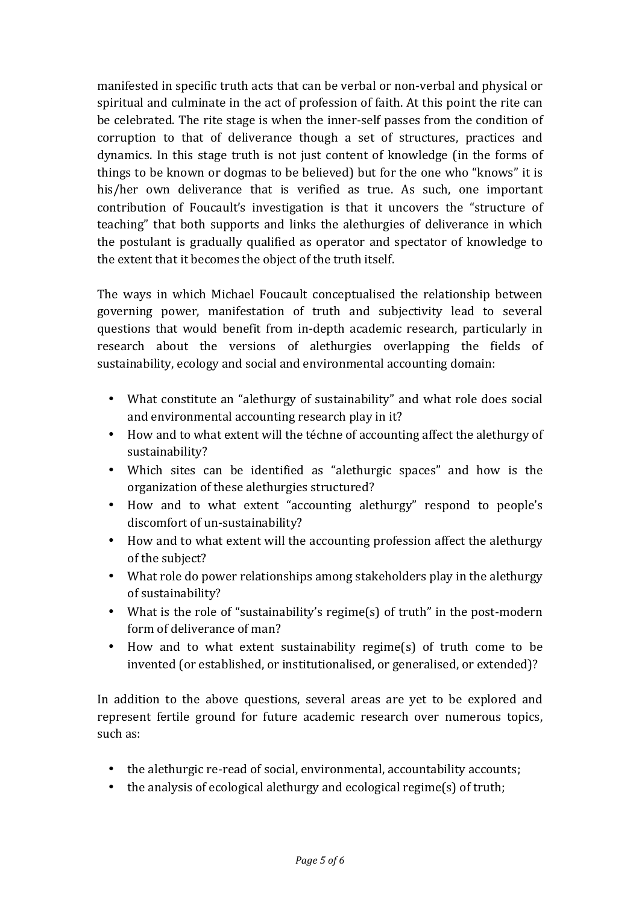manifested in specific truth acts that can be verbal or non-verbal and physical or spiritual and culminate in the act of profession of faith. At this point the rite can be celebrated. The rite stage is when the inner-self passes from the condition of corruption to that of deliverance though a set of structures, practices and dynamics. In this stage truth is not just content of knowledge (in the forms of things to be known or dogmas to be believed) but for the one who "knows" it is his/her own deliverance that is verified as true. As such, one important contribution of Foucault's investigation is that it uncovers the "structure of teaching" that both supports and links the alethurgies of deliverance in which the postulant is gradually qualified as operator and spectator of knowledge to the extent that it becomes the object of the truth itself.

The ways in which Michael Foucault conceptualised the relationship between governing power, manifestation of truth and subjectivity lead to several questions that would benefit from in-depth academic research, particularly in research about the versions of alethurgies overlapping the fields of sustainability, ecology and social and environmental accounting domain:

- What constitute an "alethurgy of sustainability" and what role does social and environmental accounting research play in it?
- How and to what extent will the téchne of accounting affect the alethurgy of sustainability?
- Which sites can be identified as "alethurgic spaces" and how is the organization of these alethurgies structured?
- How and to what extent "accounting alethurgy" respond to people's discomfort of un-sustainability?
- How and to what extent will the accounting profession affect the alethurgy of the subject?
- What role do power relationships among stakeholders play in the alethurgy of sustainability?
- What is the role of "sustainability's regime(s) of truth" in the post-modern form of deliverance of man?
- How and to what extent sustainability regime(s) of truth come to be invented (or established, or institutionalised, or generalised, or extended)?

In addition to the above questions, several areas are yet to be explored and represent fertile ground for future academic research over numerous topics, such as:

- the alethurgic re-read of social, environmental, accountability accounts;
- the analysis of ecological alethurgy and ecological regime(s) of truth;